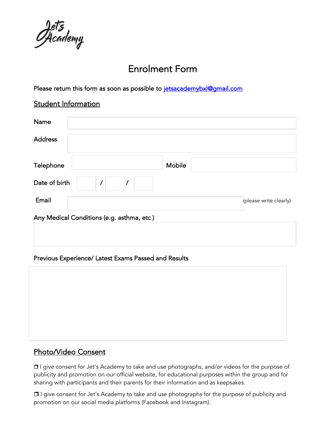Pacademy

# Enrolment Form

Please return this form as soon as possible to jetsacademybxl@gmail.com

#### Student Information

| Name                                      |                        |  |  |
|-------------------------------------------|------------------------|--|--|
| <b>Address</b>                            |                        |  |  |
| Telephone                                 | Mobile                 |  |  |
| Date of birth<br>$\prime$                 |                        |  |  |
| Email                                     | (please write clearly) |  |  |
| Any Medical Conditions (e.g. asthma, etc) |                        |  |  |
|                                           |                        |  |  |
|                                           |                        |  |  |

#### Previous Experience/ Latest Exams Passed and Results

### Photo/Video Consent

❒ I give consent for Jet's Academy to take and use photographs, and/or videos for the purpose of publicity and promotion on our official website, for educational purposes within the group and for sharing with participants and their parents for their information and as keepsakes.

❒ I give consent for Jet's Academy to take and use photographs for the purpose of publicity and promotion on our social media platforms (Facebook and Instagram).